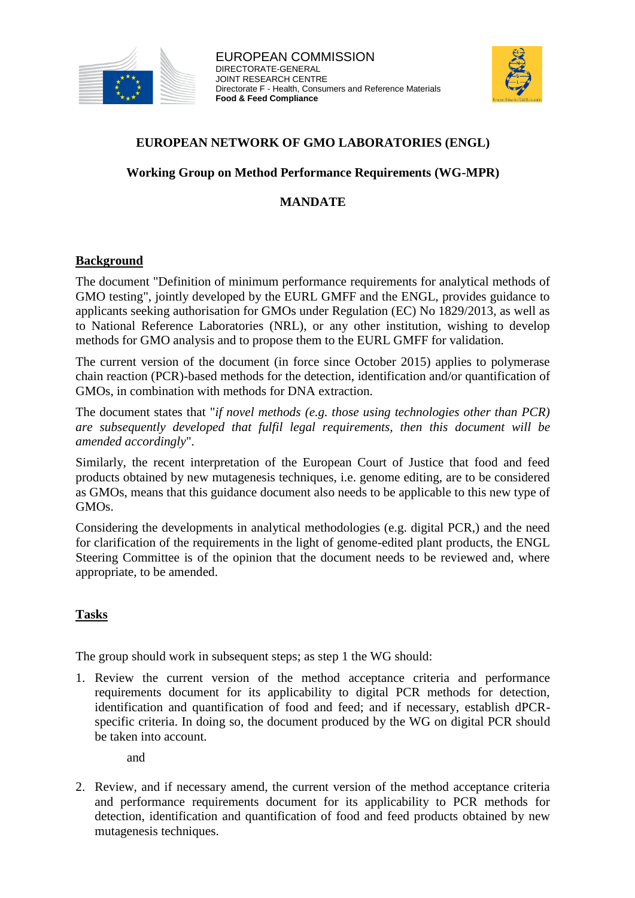



## **EUROPEAN NETWORK OF GMO LABORATORIES (ENGL)**

### **Working Group on Method Performance Requirements (WG-MPR)**

## **MANDATE**

#### **Background**

The document "Definition of minimum performance requirements for analytical methods of GMO testing", jointly developed by the EURL GMFF and the ENGL, provides guidance to applicants seeking authorisation for GMOs under Regulation (EC) No 1829/2013, as well as to National Reference Laboratories (NRL), or any other institution, wishing to develop methods for GMO analysis and to propose them to the EURL GMFF for validation.

The current version of the document (in force since October 2015) applies to polymerase chain reaction (PCR)-based methods for the detection, identification and/or quantification of GMOs, in combination with methods for DNA extraction.

The document states that "*if novel methods (e.g. those using technologies other than PCR) are subsequently developed that fulfil legal requirements, then this document will be amended accordingly*".

Similarly, the recent interpretation of the European Court of Justice that food and feed products obtained by new mutagenesis techniques, i.e. genome editing, are to be considered as GMOs, means that this guidance document also needs to be applicable to this new type of GMOs.

Considering the developments in analytical methodologies (e.g. digital PCR,) and the need for clarification of the requirements in the light of genome-edited plant products, the ENGL Steering Committee is of the opinion that the document needs to be reviewed and, where appropriate, to be amended.

## **Tasks**

The group should work in subsequent steps; as step 1 the WG should:

1. Review the current version of the method acceptance criteria and performance requirements document for its applicability to digital PCR methods for detection, identification and quantification of food and feed; and if necessary, establish dPCRspecific criteria. In doing so, the document produced by the WG on digital PCR should be taken into account.

and

2. Review, and if necessary amend, the current version of the method acceptance criteria and performance requirements document for its applicability to PCR methods for detection, identification and quantification of food and feed products obtained by new mutagenesis techniques.